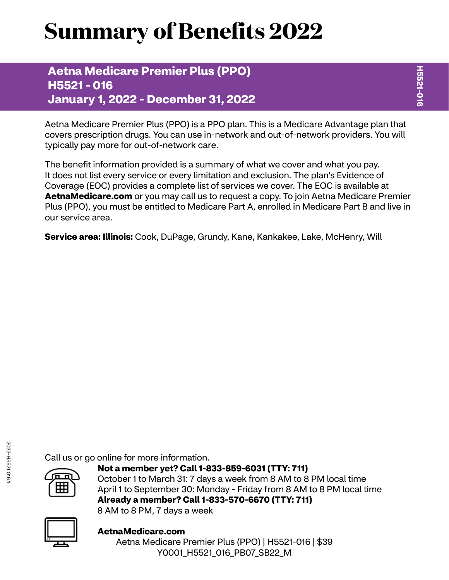# **Summary of Benefits 2022**

**Aetna Medicare Premier Plus (PPO) H5521 - 016 January 1, 2022 - December 31, 2022**

Aetna Medicare Premier Plus (PPO) is a PPO plan. This is a Medicare Advantage plan that covers prescription drugs. You can use in-network and out-of-network providers. You will typically pay more for out-of-network care.

The benefit information provided is a summary of what we cover and what you pay. It does not list every service or every limitation and exclusion. The plan's Evidence of Coverage (EOC) provides a complete list of services we cover. The EOC is available at **[AetnaMedicare.com](http://AetnaMedicare.com)** or you may call us to request a copy. To join Aetna Medicare Premier Plus (PPO), you must be entitled to Medicare Part A, enrolled in Medicare Part B and live in our service area.

**Service area: Illinois:** Cook, DuPage, Grundy, Kane, Kankakee, Lake, McHenry, Will

Call us or go online for more information.



**Not a member yet? Call 1-833-859-6031 (TTY: 711)** October 1 to March 31: 7 days a week from 8 AM to 8 PM local time April 1 to September 30: Monday - Friday from 8 AM to 8 PM local time **Already a member? Call 1-833-570-6670 (TTY: 711)** 8 AM to 8 PM, 7 days a week



**[AetnaMedicare.com](http://AetnaMedicare.com)** Aetna Medicare Premier Plus (PPO) | H5521-016 | \$39 Y0001\_H5521\_016\_PB07\_SB22\_M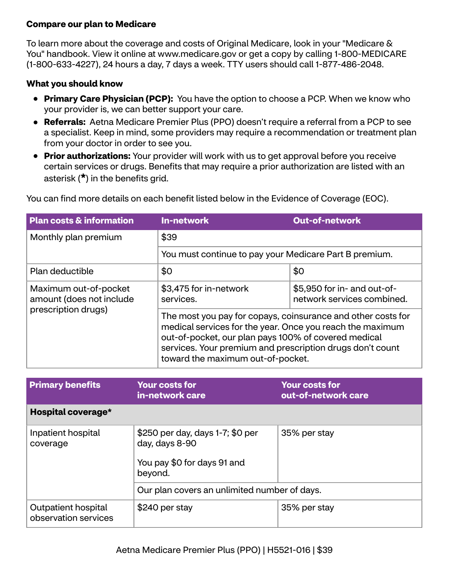#### **Compare our plan to Medicare**

To learn more about the coverage and costs of Original Medicare, look in your "Medicare & You" handbook. View it online at<www.medicare.gov>or get a copy by calling 1-800-MEDICARE (1-800-633-4227), 24 hours a day, 7 days a week. TTY users should call 1-877-486-2048.

#### **What you should know**

- **Primary Care Physician (PCP):** You have the option to choose a PCP. When we know who your provider is, we can better support your care.
- **Referrals:** Aetna Medicare Premier Plus (PPO) doesn't require a referral from a PCP to see a specialist. Keep in mind, some providers may require a recommendation or treatment plan from your doctor in order to see you.
- **Prior authorizations:** Your provider will work with us to get approval before you receive certain services or drugs. Benefits that may require a prior authorization are listed with an asterisk (**\***) in the benefits grid.

| <b>Plan costs &amp; information</b>               | <b>In-network</b>                                                                                                                                                                                                                                                                   | <b>Out-of-network</b>                                     |  |
|---------------------------------------------------|-------------------------------------------------------------------------------------------------------------------------------------------------------------------------------------------------------------------------------------------------------------------------------------|-----------------------------------------------------------|--|
| Monthly plan premium                              | \$39<br>You must continue to pay your Medicare Part B premium.                                                                                                                                                                                                                      |                                                           |  |
|                                                   |                                                                                                                                                                                                                                                                                     |                                                           |  |
| Plan deductible                                   | \$0                                                                                                                                                                                                                                                                                 | \$0                                                       |  |
| Maximum out-of-pocket<br>amount (does not include | \$3,475 for in-network<br>services.                                                                                                                                                                                                                                                 | \$5,950 for in- and out-of-<br>network services combined. |  |
| prescription drugs)                               | The most you pay for copays, coinsurance and other costs for<br>medical services for the year. Once you reach the maximum<br>out-of-pocket, our plan pays 100% of covered medical<br>services. Your premium and prescription drugs don't count<br>toward the maximum out-of-pocket. |                                                           |  |

You can find more details on each benefit listed below in the Evidence of Coverage (EOC).

| <b>Primary benefits</b>                     | <b>Your costs for</b><br>in-network care                                                     | <b>Your costs for</b><br>out-of-network care |
|---------------------------------------------|----------------------------------------------------------------------------------------------|----------------------------------------------|
| Hospital coverage*                          |                                                                                              |                                              |
| Inpatient hospital<br>coverage              | \$250 per day, days 1-7; \$0 per<br>day, days 8-90<br>You pay \$0 for days 91 and<br>beyond. | 35% per stay                                 |
|                                             | Our plan covers an unlimited number of days.                                                 |                                              |
| Outpatient hospital<br>observation services | \$240 per stay                                                                               | 35% per stay                                 |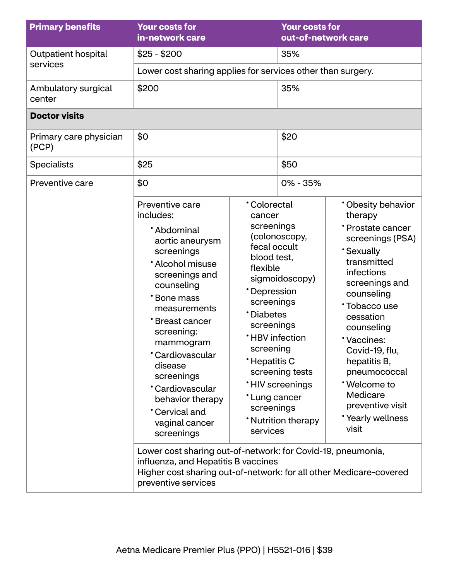| <b>Primary benefits</b>         | <b>Your costs for</b><br>in-network care                                                                                                                                                                                                                                                                                                                                                                                                                                                                                                          |                                                                                                                                                                                                                                              | <b>Your costs for</b><br>out-of-network care                                                       |                                                                                                                                                                                                                                                                                                                                               |
|---------------------------------|---------------------------------------------------------------------------------------------------------------------------------------------------------------------------------------------------------------------------------------------------------------------------------------------------------------------------------------------------------------------------------------------------------------------------------------------------------------------------------------------------------------------------------------------------|----------------------------------------------------------------------------------------------------------------------------------------------------------------------------------------------------------------------------------------------|----------------------------------------------------------------------------------------------------|-----------------------------------------------------------------------------------------------------------------------------------------------------------------------------------------------------------------------------------------------------------------------------------------------------------------------------------------------|
| Outpatient hospital             | $$25 - $200$                                                                                                                                                                                                                                                                                                                                                                                                                                                                                                                                      |                                                                                                                                                                                                                                              | 35%                                                                                                |                                                                                                                                                                                                                                                                                                                                               |
| services                        | Lower cost sharing applies for services other than surgery.                                                                                                                                                                                                                                                                                                                                                                                                                                                                                       |                                                                                                                                                                                                                                              |                                                                                                    |                                                                                                                                                                                                                                                                                                                                               |
| Ambulatory surgical<br>center   | \$200                                                                                                                                                                                                                                                                                                                                                                                                                                                                                                                                             |                                                                                                                                                                                                                                              | 35%                                                                                                |                                                                                                                                                                                                                                                                                                                                               |
| <b>Doctor visits</b>            |                                                                                                                                                                                                                                                                                                                                                                                                                                                                                                                                                   |                                                                                                                                                                                                                                              |                                                                                                    |                                                                                                                                                                                                                                                                                                                                               |
| Primary care physician<br>(PCP) | \$0                                                                                                                                                                                                                                                                                                                                                                                                                                                                                                                                               |                                                                                                                                                                                                                                              | \$20                                                                                               |                                                                                                                                                                                                                                                                                                                                               |
| <b>Specialists</b>              | \$25                                                                                                                                                                                                                                                                                                                                                                                                                                                                                                                                              |                                                                                                                                                                                                                                              | \$50                                                                                               |                                                                                                                                                                                                                                                                                                                                               |
| Preventive care                 | \$0                                                                                                                                                                                                                                                                                                                                                                                                                                                                                                                                               |                                                                                                                                                                                                                                              | $0\% - 35\%$                                                                                       |                                                                                                                                                                                                                                                                                                                                               |
|                                 | Preventive care<br>includes:<br>*Abdominal<br>aortic aneurysm<br>screenings<br>* Alcohol misuse<br>screenings and<br>counseling<br>*Bone mass<br>measurements<br>*Breast cancer<br>screening:<br>mammogram<br>*Cardiovascular<br>disease<br>screenings<br>*Cardiovascular<br>behavior therapy<br>*Cervical and<br>vaginal cancer<br>screenings<br>Lower cost sharing out-of-network: for Covid-19, pneumonia,<br>influenza, and Hepatitis B vaccines<br>Higher cost sharing out-of-network: for all other Medicare-covered<br>preventive services | <b>Colorectal</b><br>cancer<br>screenings<br>fecal occult<br>blood test,<br>flexible<br>*Depression<br>screenings<br>*Diabetes<br>screenings<br><b>*HBV</b> infection<br>screening<br>*Hepatitis C<br>*Lung cancer<br>screenings<br>services | (colonoscopy,<br>sigmoidoscopy)<br>screening tests<br><b>HIV</b> screenings<br>* Nutrition therapy | * Obesity behavior<br>therapy<br>* Prostate cancer<br>screenings (PSA)<br><b>Sexually</b><br>transmitted<br>infections<br>screenings and<br>counseling<br>*Tobacco use<br>cessation<br>counseling<br>*Vaccines:<br>Covid-19, flu,<br>hepatitis B,<br>pneumococcal<br>*Welcome to<br>Medicare<br>preventive visit<br>*Yearly wellness<br>visit |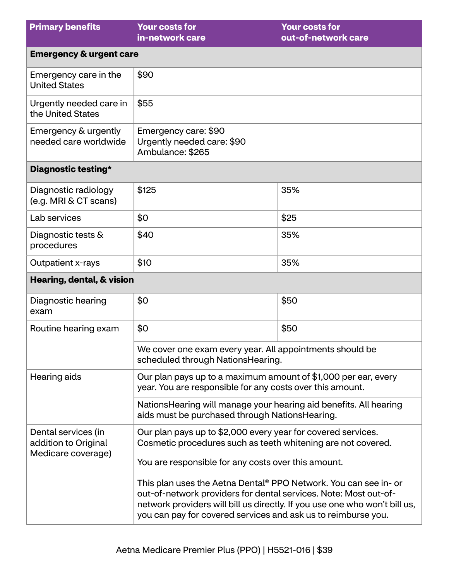| <b>Primary benefits</b>                                           | <b>Your costs for</b><br>in-network care                                                                                                                                                                                                                                                                                                   | <b>Your costs for</b><br>out-of-network care |  |
|-------------------------------------------------------------------|--------------------------------------------------------------------------------------------------------------------------------------------------------------------------------------------------------------------------------------------------------------------------------------------------------------------------------------------|----------------------------------------------|--|
| <b>Emergency &amp; urgent care</b>                                |                                                                                                                                                                                                                                                                                                                                            |                                              |  |
| Emergency care in the<br><b>United States</b>                     | \$90                                                                                                                                                                                                                                                                                                                                       |                                              |  |
| Urgently needed care in<br>the United States                      | \$55                                                                                                                                                                                                                                                                                                                                       |                                              |  |
| Emergency & urgently<br>needed care worldwide                     | Emergency care: \$90<br>Urgently needed care: \$90<br>Ambulance: \$265                                                                                                                                                                                                                                                                     |                                              |  |
| Diagnostic testing*                                               |                                                                                                                                                                                                                                                                                                                                            |                                              |  |
| Diagnostic radiology<br>(e.g. MRI & CT scans)                     | \$125                                                                                                                                                                                                                                                                                                                                      | 35%                                          |  |
| Lab services                                                      | \$0                                                                                                                                                                                                                                                                                                                                        | \$25                                         |  |
| Diagnostic tests &<br>procedures                                  | \$40                                                                                                                                                                                                                                                                                                                                       | 35%                                          |  |
| Outpatient x-rays                                                 | \$10                                                                                                                                                                                                                                                                                                                                       | 35%                                          |  |
| Hearing, dental, & vision                                         |                                                                                                                                                                                                                                                                                                                                            |                                              |  |
| Diagnostic hearing<br>exam                                        | \$0                                                                                                                                                                                                                                                                                                                                        | \$50                                         |  |
| Routine hearing exam                                              | \$0                                                                                                                                                                                                                                                                                                                                        | \$50                                         |  |
|                                                                   | We cover one exam every year. All appointments should be<br>scheduled through NationsHearing.                                                                                                                                                                                                                                              |                                              |  |
| Hearing aids                                                      | Our plan pays up to a maximum amount of \$1,000 per ear, every<br>year. You are responsible for any costs over this amount.                                                                                                                                                                                                                |                                              |  |
|                                                                   | Nations Hearing will manage your hearing aid benefits. All hearing<br>aids must be purchased through NationsHearing.                                                                                                                                                                                                                       |                                              |  |
| Dental services (in<br>addition to Original<br>Medicare coverage) | Our plan pays up to \$2,000 every year for covered services.<br>Cosmetic procedures such as teeth whitening are not covered.                                                                                                                                                                                                               |                                              |  |
|                                                                   | You are responsible for any costs over this amount.<br>This plan uses the Aetna Dental® PPO Network. You can see in- or<br>out-of-network providers for dental services. Note: Most out-of-<br>network providers will bill us directly. If you use one who won't bill us,<br>you can pay for covered services and ask us to reimburse you. |                                              |  |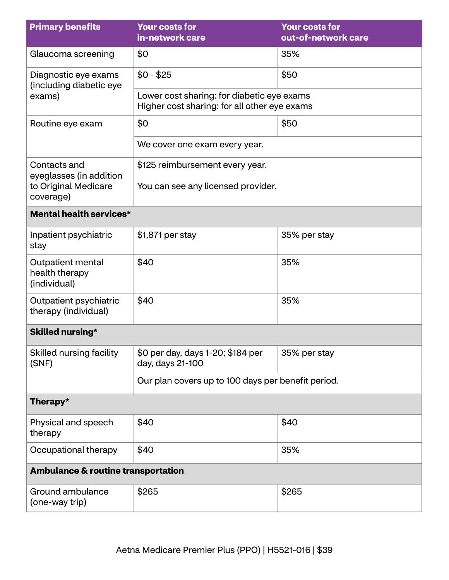| <b>Primary benefits</b>                             | <b>Your costs for</b><br>in-network care                                                   | <b>Your costs for</b><br>out-of-network care |  |
|-----------------------------------------------------|--------------------------------------------------------------------------------------------|----------------------------------------------|--|
| Glaucoma screening                                  | \$0                                                                                        | 35%                                          |  |
| Diagnostic eye exams<br>(including diabetic eye     | $$0 - $25$                                                                                 | \$50                                         |  |
| exams)                                              | Lower cost sharing: for diabetic eye exams<br>Higher cost sharing: for all other eye exams |                                              |  |
| Routine eye exam                                    | \$0                                                                                        | \$50                                         |  |
|                                                     | We cover one exam every year.                                                              |                                              |  |
| Contacts and<br>eyeglasses (in addition             | \$125 reimbursement every year.                                                            |                                              |  |
| to Original Medicare<br>coverage)                   | You can see any licensed provider.                                                         |                                              |  |
| <b>Mental health services*</b>                      |                                                                                            |                                              |  |
| Inpatient psychiatric<br>stay                       | \$1,871 per stay                                                                           | 35% per stay                                 |  |
| Outpatient mental<br>health therapy<br>(individual) | \$40                                                                                       | 35%                                          |  |
| Outpatient psychiatric<br>therapy (individual)      | \$40                                                                                       | 35%                                          |  |
| <b>Skilled nursing*</b>                             |                                                                                            |                                              |  |
| Skilled nursing facility<br>(SNF)                   | \$0 per day, days 1-20; \$184 per<br>day, days 21-100                                      | 35% per stay                                 |  |
|                                                     | Our plan covers up to 100 days per benefit period.                                         |                                              |  |
| Therapy*                                            |                                                                                            |                                              |  |
| Physical and speech<br>therapy                      | \$40                                                                                       | \$40                                         |  |
| Occupational therapy                                | \$40                                                                                       | 35%                                          |  |
| <b>Ambulance &amp; routine transportation</b>       |                                                                                            |                                              |  |
| Ground ambulance<br>(one-way trip)                  | \$265                                                                                      | \$265                                        |  |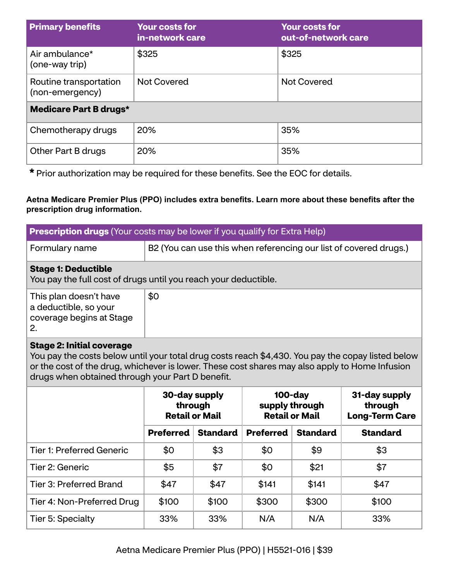| <b>Primary benefits</b>                   | <b>Your costs for</b><br>in-network care | <b>Your costs for</b><br>out-of-network care |  |
|-------------------------------------------|------------------------------------------|----------------------------------------------|--|
| Air ambulance*<br>(one-way trip)          | \$325                                    | \$325                                        |  |
| Routine transportation<br>(non-emergency) | <b>Not Covered</b>                       | <b>Not Covered</b>                           |  |
| <b>Medicare Part B drugs*</b>             |                                          |                                              |  |
| Chemotherapy drugs                        | 20%                                      | 35%                                          |  |
| Other Part B drugs                        | 20%                                      | 35%                                          |  |

**\*** Prior authorization may be required for these benefits. See the EOC for details.

**Aetna Medicare Premier Plus (PPO) includes extra benefits. Learn more about these benefits after the prescription drug information.**

| <b>Prescription drugs</b> (Your costs may be lower if you qualify for Extra Help)                                                                                                                                                                                                           |                                                                                                                                                                 |                                                                   |                  |                 |                 |
|---------------------------------------------------------------------------------------------------------------------------------------------------------------------------------------------------------------------------------------------------------------------------------------------|-----------------------------------------------------------------------------------------------------------------------------------------------------------------|-------------------------------------------------------------------|------------------|-----------------|-----------------|
| Formulary name                                                                                                                                                                                                                                                                              |                                                                                                                                                                 | B2 (You can use this when referencing our list of covered drugs.) |                  |                 |                 |
| <b>Stage 1: Deductible</b><br>You pay the full cost of drugs until you reach your deductible.                                                                                                                                                                                               |                                                                                                                                                                 |                                                                   |                  |                 |                 |
| This plan doesn't have<br>a deductible, so your<br>coverage begins at Stage<br>2.                                                                                                                                                                                                           | \$0                                                                                                                                                             |                                                                   |                  |                 |                 |
| <b>Stage 2: Initial coverage</b><br>You pay the costs below until your total drug costs reach \$4,430. You pay the copay listed below<br>or the cost of the drug, whichever is lower. These cost shares may also apply to Home Infusion<br>drugs when obtained through your Part D benefit. |                                                                                                                                                                 |                                                                   |                  |                 |                 |
|                                                                                                                                                                                                                                                                                             | $100$ -day<br>30-day supply<br>31-day supply<br>supply through<br>through<br>through<br><b>Retail or Mail</b><br><b>Retail or Mail</b><br><b>Long-Term Care</b> |                                                                   |                  |                 |                 |
|                                                                                                                                                                                                                                                                                             | <b>Preferred</b>                                                                                                                                                | <b>Standard</b>                                                   | <b>Preferred</b> | <b>Standard</b> | <b>Standard</b> |
| <b>Tier 1: Preferred Generic</b>                                                                                                                                                                                                                                                            | \$0                                                                                                                                                             | \$3                                                               | \$0              | \$9             | \$3             |
| Tier 2: Generic                                                                                                                                                                                                                                                                             | \$5                                                                                                                                                             | \$7                                                               | \$0              | \$21            | \$7             |
| <b>Tier 3: Preferred Brand</b>                                                                                                                                                                                                                                                              | \$47                                                                                                                                                            | \$47                                                              | \$141            | \$141           | \$47            |
| Tier 4: Non-Preferred Drug                                                                                                                                                                                                                                                                  | \$100                                                                                                                                                           | \$100                                                             | \$300            | \$300           | \$100           |
| Tier 5: Specialty                                                                                                                                                                                                                                                                           | 33%                                                                                                                                                             | 33%                                                               | N/A              | N/A             | 33%             |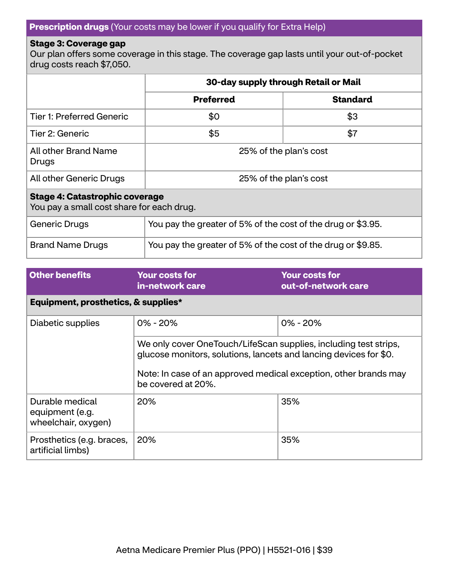### **Prescription drugs** (Your costs may be lower if you qualify for Extra Help)

#### **Stage 3: Coverage gap**

Our plan offers some coverage in this stage. The coverage gap lasts until your out-of-pocket drug costs reach \$7,050.

|                                                                                    | 30-day supply through Retail or Mail                         |                 |  |
|------------------------------------------------------------------------------------|--------------------------------------------------------------|-----------------|--|
|                                                                                    | <b>Preferred</b>                                             | <b>Standard</b> |  |
| <b>Tier 1: Preferred Generic</b>                                                   | \$0                                                          | \$3             |  |
| Tier 2: Generic                                                                    | \$5                                                          | \$7             |  |
| All other Brand Name<br>Drugs                                                      | 25% of the plan's cost                                       |                 |  |
| All other Generic Drugs                                                            | 25% of the plan's cost                                       |                 |  |
| <b>Stage 4: Catastrophic coverage</b><br>You pay a small cost share for each drug. |                                                              |                 |  |
| <b>Generic Drugs</b>                                                               | You pay the greater of 5% of the cost of the drug or \$3.95. |                 |  |
| <b>Brand Name Drugs</b>                                                            | You pay the greater of 5% of the cost of the drug or \$9.85. |                 |  |

| <b>Other benefits</b>                                     | <b>Your costs for</b><br>in-network care                                                                                                                                                                                        | <b>Your costs for</b><br>out-of-network care |  |
|-----------------------------------------------------------|---------------------------------------------------------------------------------------------------------------------------------------------------------------------------------------------------------------------------------|----------------------------------------------|--|
| Equipment, prosthetics, & supplies*                       |                                                                                                                                                                                                                                 |                                              |  |
| Diabetic supplies                                         | $0\% - 20\%$                                                                                                                                                                                                                    | $0\% - 20\%$                                 |  |
|                                                           | We only cover OneTouch/LifeScan supplies, including test strips,<br>glucose monitors, solutions, lancets and lancing devices for \$0.<br>Note: In case of an approved medical exception, other brands may<br>be covered at 20%. |                                              |  |
| Durable medical<br>equipment (e.g.<br>wheelchair, oxygen) | <b>20%</b>                                                                                                                                                                                                                      | 35%                                          |  |
| Prosthetics (e.g. braces,<br>artificial limbs)            | 20%                                                                                                                                                                                                                             | 35%                                          |  |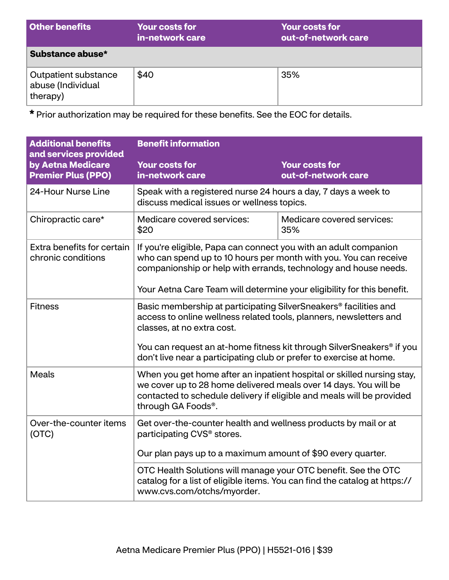| <b>Other benefits</b>                                 | <b>Your costs for</b><br>in-network care | <b>Your costs for</b><br>out-of-network care |
|-------------------------------------------------------|------------------------------------------|----------------------------------------------|
| Substance abuse*                                      |                                          |                                              |
| Outpatient substance<br>abuse (Individual<br>therapy) | \$40                                     | 35%                                          |

**\*** Prior authorization may be required for these benefits. See the EOC for details.

| <b>Additional benefits</b><br>and services provided | <b>Benefit information</b>                                                                                                                                                                                                                                                                                       |                                              |
|-----------------------------------------------------|------------------------------------------------------------------------------------------------------------------------------------------------------------------------------------------------------------------------------------------------------------------------------------------------------------------|----------------------------------------------|
| by Aetna Medicare<br><b>Premier Plus (PPO)</b>      | <b>Your costs for</b><br>in-network care                                                                                                                                                                                                                                                                         | <b>Your costs for</b><br>out-of-network care |
| 24-Hour Nurse Line                                  | Speak with a registered nurse 24 hours a day, 7 days a week to<br>discuss medical issues or wellness topics.                                                                                                                                                                                                     |                                              |
| Chiropractic care*                                  | Medicare covered services:<br>\$20                                                                                                                                                                                                                                                                               | Medicare covered services:<br>35%            |
| Extra benefits for certain<br>chronic conditions    | If you're eligible, Papa can connect you with an adult companion<br>who can spend up to 10 hours per month with you. You can receive<br>companionship or help with errands, technology and house needs.<br>Your Aetna Care Team will determine your eligibility for this benefit.                                |                                              |
| <b>Fitness</b>                                      | Basic membership at participating SilverSneakers <sup>®</sup> facilities and<br>access to online wellness related tools, planners, newsletters and<br>classes, at no extra cost.<br>You can request an at-home fitness kit through SilverSneakers® if you                                                        |                                              |
| <b>Meals</b>                                        | don't live near a participating club or prefer to exercise at home.<br>When you get home after an inpatient hospital or skilled nursing stay,<br>we cover up to 28 home delivered meals over 14 days. You will be<br>contacted to schedule delivery if eligible and meals will be provided<br>through GA Foods®. |                                              |
| Over-the-counter items<br>(OTC)                     | Get over-the-counter health and wellness products by mail or at<br>participating CVS <sup>®</sup> stores.<br>Our plan pays up to a maximum amount of \$90 every quarter.                                                                                                                                         |                                              |
|                                                     | OTC Health Solutions will manage your OTC benefit. See the OTC<br>catalog for a list of eligible items. You can find the catalog at https://<br>www.cvs.com/otchs/myorder.                                                                                                                                       |                                              |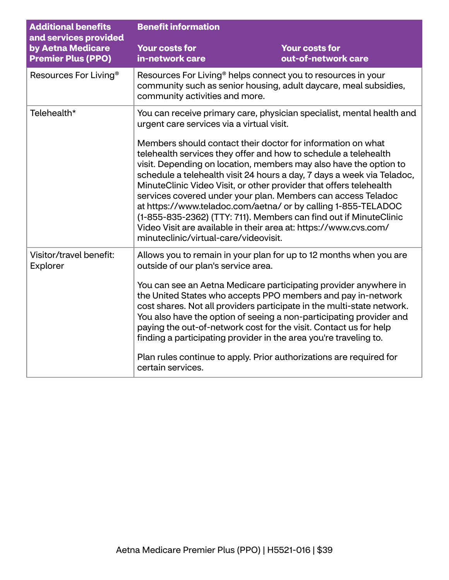| <b>Additional benefits</b><br>and services provided | <b>Benefit information</b>                                                                                                                                                                                                                                                                                                                                                                                                                                                                                                                                                                                                                                                                                                                                                                   |                                              |
|-----------------------------------------------------|----------------------------------------------------------------------------------------------------------------------------------------------------------------------------------------------------------------------------------------------------------------------------------------------------------------------------------------------------------------------------------------------------------------------------------------------------------------------------------------------------------------------------------------------------------------------------------------------------------------------------------------------------------------------------------------------------------------------------------------------------------------------------------------------|----------------------------------------------|
| by Aetna Medicare<br><b>Premier Plus (PPO)</b>      | <b>Your costs for</b><br>in-network care                                                                                                                                                                                                                                                                                                                                                                                                                                                                                                                                                                                                                                                                                                                                                     | <b>Your costs for</b><br>out-of-network care |
| Resources For Living <sup>®</sup>                   | Resources For Living <sup>®</sup> helps connect you to resources in your<br>community such as senior housing, adult daycare, meal subsidies,<br>community activities and more.                                                                                                                                                                                                                                                                                                                                                                                                                                                                                                                                                                                                               |                                              |
| Telehealth*                                         | You can receive primary care, physician specialist, mental health and<br>urgent care services via a virtual visit.<br>Members should contact their doctor for information on what<br>telehealth services they offer and how to schedule a telehealth<br>visit. Depending on location, members may also have the option to<br>schedule a telehealth visit 24 hours a day, 7 days a week via Teladoc,<br>MinuteClinic Video Visit, or other provider that offers telehealth<br>services covered under your plan. Members can access Teladoc<br>at https://www.teladoc.com/aetna/ or by calling 1-855-TELADOC<br>(1-855-835-2362) (TTY: 711). Members can find out if MinuteClinic<br>Video Visit are available in their area at: https://www.cvs.com/<br>minuteclinic/virtual-care/videovisit. |                                              |
| Visitor/travel benefit:<br>Explorer                 | Allows you to remain in your plan for up to 12 months when you are<br>outside of our plan's service area.<br>You can see an Aetna Medicare participating provider anywhere in<br>the United States who accepts PPO members and pay in-network<br>cost shares. Not all providers participate in the multi-state network.<br>You also have the option of seeing a non-participating provider and<br>paying the out-of-network cost for the visit. Contact us for help<br>finding a participating provider in the area you're traveling to.<br>Plan rules continue to apply. Prior authorizations are required for<br>certain services.                                                                                                                                                         |                                              |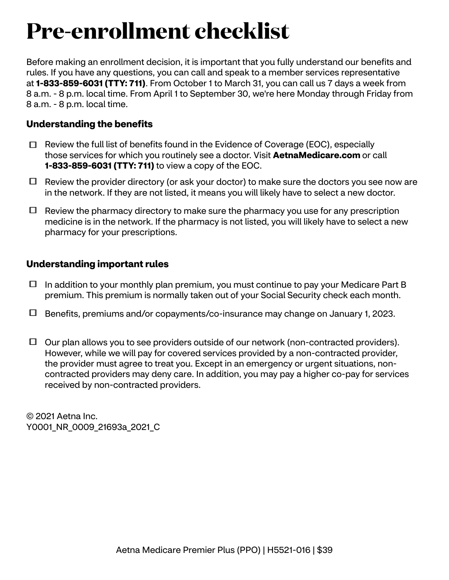## **Pre-enrollment checklist**

Before making an enrollment decision, it is important that you fully understand our benefits and rules. If you have any questions, you can call and speak to a member services representative at **1-833-859-6031 (TTY: 711)**. From October 1 to March 31, you can call us 7 days a week from 8 a.m. - 8 p.m. local time. From April 1 to September 30, we're here Monday through Friday from 8 a.m. - 8 p.m. local time.

## **Understanding the benefits**

- $\Box$  Review the full list of benefits found in the Evidence of Coverage (EOC), especially those services for which you routinely see a doctor. Visit **[AetnaMedicare.com](http://AetnaMedicare.com)** or call **1-833-859-6031 (TTY: 711)** to view a copy of the EOC.
- $\Box$  Review the provider directory (or ask your doctor) to make sure the doctors you see now are in the network. If they are not listed, it means you will likely have to select a new doctor.
- $\Box$  Review the pharmacy directory to make sure the pharmacy you use for any prescription medicine is in the network. If the pharmacy is not listed, you will likely have to select a new pharmacy for your prescriptions.

## **Understanding important rules**

- $\Box$  In addition to your monthly plan premium, you must continue to pay your Medicare Part B premium. This premium is normally taken out of your Social Security check each month.
- Benefits, premiums and/or copayments/co-insurance may change on January 1, 2023.
- $\Box$  Our plan allows you to see providers outside of our network (non-contracted providers). However, while we will pay for covered services provided by a non-contracted provider, the provider must agree to treat you. Except in an emergency or urgent situations, noncontracted providers may deny care. In addition, you may pay a higher co-pay for services received by non-contracted providers.

© 2021 Aetna Inc. Y0001 NR 0009 21693a 2021 C